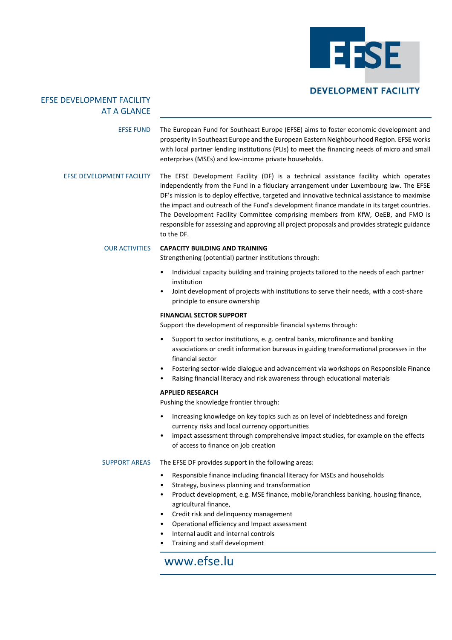

## EFSE DEVELOPMENT FACILITY AT A GLANCE

EFSE FUND The European Fund for Southeast Europe (EFSE) aims to foster economic development and prosperity in Southeast Europe and the European Eastern Neighbourhood Region. EFSE works with local partner lending institutions (PLIs) to meet the financing needs of micro and small enterprises (MSEs) and low-income private households.

EFSE DEVELOPMENT FACILITY The EFSE Development Facility (DF) is a technical assistance facility which operates independently from the Fund in a fiduciary arrangement under Luxembourg law. The EFSE DF's mission is to deploy effective, targeted and innovative technical assistance to maximise the impact and outreach of the Fund's development finance mandate in its target countries. The Development Facility Committee comprising members from KfW, OeEB, and FMO is responsible for assessing and approving all project proposals and provides strategic guidance to the DF.

## OUR ACTIVITIES **CAPACITY BUILDING AND TRAINING**

Strengthening (potential) partner institutions through:

- Individual capacity building and training projects tailored to the needs of each partner institution
- Joint development of projects with institutions to serve their needs, with a cost-share principle to ensure ownership

## **FINANCIAL SECTOR SUPPORT**

Support the development of responsible financial systems through:

- Support to sector institutions, e. g. central banks, microfinance and banking associations or credit information bureaus in guiding transformational processes in the financial sector
- Fostering sector-wide dialogue and advancement via workshops on Responsible Finance
- Raising financial literacy and risk awareness through educational materials

### **APPLIED RESEARCH**

Pushing the knowledge frontier through:

- Increasing knowledge on key topics such as on level of indebtedness and foreign currency risks and local currency opportunities
- impact assessment through comprehensive impact studies, for example on the effects of access to finance on job creation

## SUPPORT AREAS The EFSE DF provides support in the following areas:

- Responsible finance including financial literacy for MSEs and households
- Strategy, business planning and transformation
- Product development, e.g. MSE finance, mobile/branchless banking, housing finance, agricultural finance,
- Credit risk and delinquency management
- Operational efficiency and Impact assessment
- Internal audit and internal controls
- Training and staff development

## www.efse.lu